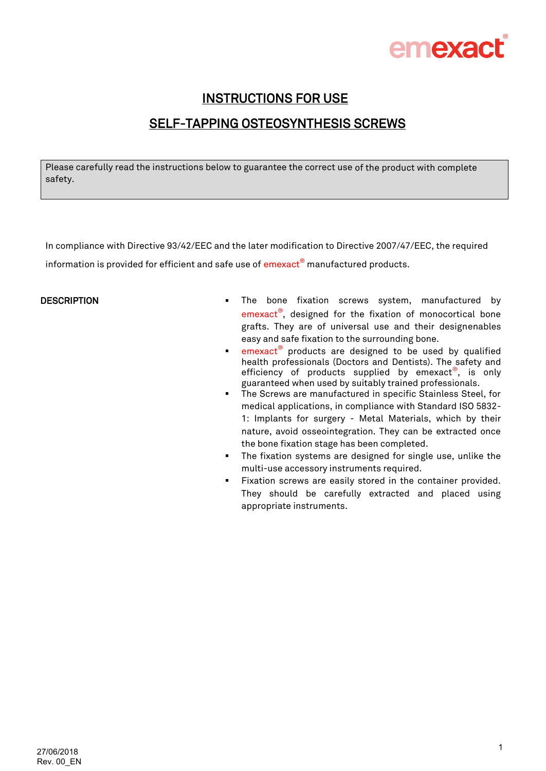

## INSTRUCTIONS FOR USE SELF-TAPPING OSTEOSYNTHESIS SCREWS

Please carefully read the instructions below to guarantee the correct use of the product with complete safety.

In compliance with Directive 93/42/EEC and the later modification to Directive 2007/47/EEC, the required information is provided for efficient and safe use of emexact® manufactured products.

- DESCRIPTION **The SALL SETTEM** The bone fixation screws system, manufactured by emexact<sup>®</sup>, designed for the fixation of monocortical bone grafts. They are of universal use and their designenables easy and safe fixation to the surrounding bone.
	- **Exerc** emexact<sup>®</sup> products are designed to be used by qualified health professionals (Doctors and Dentists). The safety and efficiency of products supplied by emexact®, is only guaranteed when used by suitably trained professionals.
	- **The Screws are manufactured in specific Stainless Steel, for** medical applications, in compliance with Standard ISO 5832- 1: Implants for surgery - Metal Materials, which by their nature, avoid osseointegration. They can be extracted once the bone fixation stage has been completed.
	- **The fixation systems are designed for single use, unlike the** multi-use accessory instruments required.
	- Fixation screws are easily stored in the container provided. They should be carefully extracted and placed using appropriate instruments.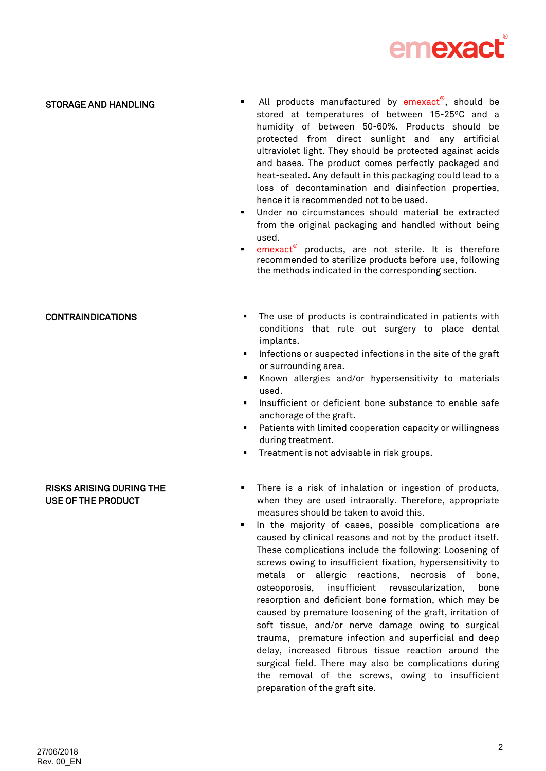

### STORAGE AND HANDLING

- All products manufactured by emexact®, should be stored at temperatures of between 15-25ºC and a humidity of between 50-60%. Products should be protected from direct sunlight and any artificial ultraviolet light. They should be protected against acids and bases. The product comes perfectly packaged and heat-sealed. Any default in this packaging could lead to a loss of decontamination and disinfection properties, hence it is recommended not to be used.
- Under no circumstances should material be extracted from the original packaging and handled without being used.
- **emexact<sup>®</sup>** products, are not sterile. It is therefore recommended to sterilize products before use, following the methods indicated in the corresponding section.

- CONTRAINDICATIONS The use of products is contraindicated in patients with conditions that rule out surgery to place dental implants.
	- **Infections or suspected infections in the site of the graft** or surrounding area.
	- Known allergies and/or hypersensitivity to materials used.
	- **Insufficient or deficient bone substance to enable safe** anchorage of the graft.
	- **Patients with limited cooperation capacity or willingness** during treatment.
	- **Treatment is not advisable in risk groups.**

### RISKS ARISING DURING THE USE OF THE PRODUCT

- **There is a risk of inhalation or ingestion of products,** when they are used intraorally. Therefore, appropriate measures should be taken to avoid this.
- In the majority of cases, possible complications are caused by clinical reasons and not by the product itself. These complications include the following: Loosening of screws owing to insufficient fixation, hypersensitivity to metals or allergic reactions, necrosis of bone, osteoporosis, insufficient revascularization, bone resorption and deficient bone formation, which may be caused by premature loosening of the graft, irritation of soft tissue, and/or nerve damage owing to surgical trauma, premature infection and superficial and deep delay, increased fibrous tissue reaction around the surgical field. There may also be complications during the removal of the screws, owing to insufficient preparation of the graft site.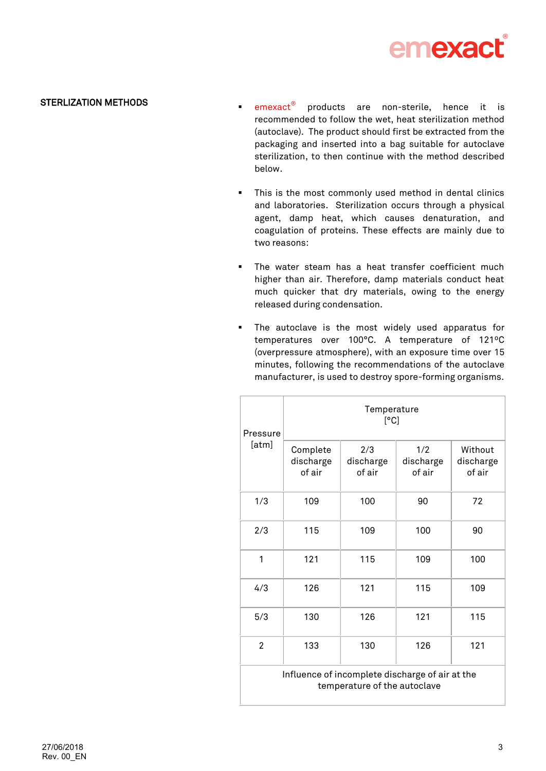

### STERLIZATION METHODS

- $p$  emexact<sup>®</sup> products are non-sterile, hence it is recommended to follow the wet, heat sterilization method (autoclave). The product should first be extracted from the packaging and inserted into a bag suitable for autoclave sterilization, to then continue with the method described below.
- This is the most commonly used method in dental clinics and laboratories. Sterilization occurs through a physical agent, damp heat, which causes denaturation, and coagulation of proteins. These effects are mainly due to two reasons:
- **The water steam has a heat transfer coefficient much** higher than air. Therefore, damp materials conduct heat much quicker that dry materials, owing to the energy released during condensation.
- **The autoclave is the most widely used apparatus for** temperatures over 100°C. A temperature of 121ºC (overpressure atmosphere), with an exposure time over 15 minutes, following the recommendations of the autoclave manufacturer, is used to destroy spore-forming organisms.

| Pressure<br>[atm]                                                               | Temperature<br>[°C]             |                            |                            |                                |  |
|---------------------------------------------------------------------------------|---------------------------------|----------------------------|----------------------------|--------------------------------|--|
|                                                                                 | Complete<br>discharge<br>of air | 2/3<br>discharge<br>of air | 1/2<br>discharge<br>of air | Without<br>discharge<br>of air |  |
| 1/3                                                                             | 109                             | 100                        | 90                         | 72                             |  |
| 2/3                                                                             | 115                             | 109                        | 100                        | 90                             |  |
| 1                                                                               | 121                             | 115                        | 109                        | 100                            |  |
| 4/3                                                                             | 126                             | 121                        | 115                        | 109                            |  |
| 5/3                                                                             | 130                             | 126                        | 121                        | 115                            |  |
| $\overline{2}$                                                                  | 133                             | 130                        | 126                        | 121                            |  |
| Influence of incomplete discharge of air at the<br>temperature of the autoclave |                                 |                            |                            |                                |  |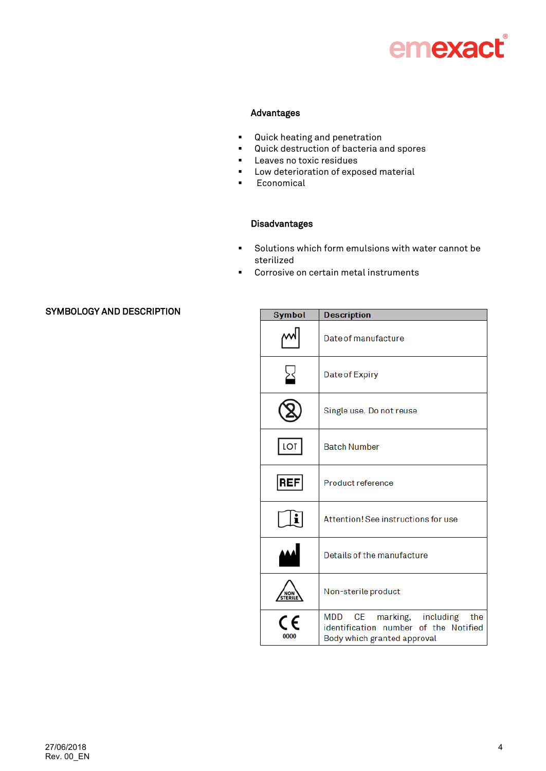# emexact®

### Advantages

- Quick heating and penetration
- Quick destruction of bacteria and spores
- **Leaves no toxic residues**
- **Low deterioration of exposed material**
- **Economical**

### Disadvantages

- Solutions which form emulsions with water cannot be sterilized
- **Corrosive on certain metal instruments**

### SYMBOLOGY AND DESCRIPTION

| <b>Symbol</b> | <b>Description</b>                                                                                                                            |  |  |
|---------------|-----------------------------------------------------------------------------------------------------------------------------------------------|--|--|
|               | Date of manufacture                                                                                                                           |  |  |
|               | Date of Expiry                                                                                                                                |  |  |
|               | Single use. Do not reuse                                                                                                                      |  |  |
| LOT           | <b>Batch Number</b>                                                                                                                           |  |  |
| REF           | Product reference                                                                                                                             |  |  |
|               | Attention! See instructions for use                                                                                                           |  |  |
|               | Details of the manufacture                                                                                                                    |  |  |
| NON<br>TERI   | Non-sterile product                                                                                                                           |  |  |
| 0000          | marking, including<br>CE to the control of the control.<br>MDD<br>the<br>identification number of the Notified<br>Body which granted approval |  |  |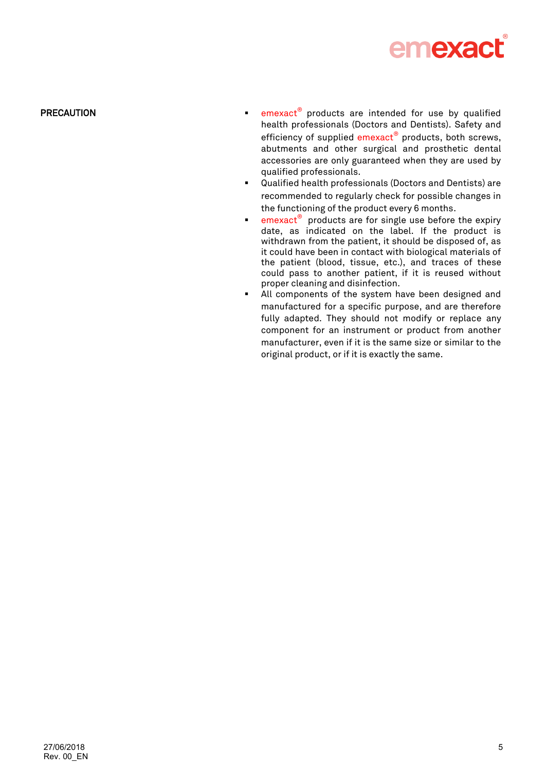

- PRECAUTION **EXECAUTION EXECAUTION EXECAUTION EXECUTION EXECUTION EXECUTION** health professionals (Doctors and Dentists). Safety and efficiency of supplied emexact<sup>®</sup> products, both screws, abutments and other surgical and prosthetic dental accessories are only guaranteed when they are used by qualified professionals.
	- Qualified health professionals (Doctors and Dentists) are recommended to regularly check for possible changes in the functioning of the product every 6 months.
	- **Exm**exact<sup>®</sup> products are for single use before the expiry date, as indicated on the label. If the product is withdrawn from the patient, it should be disposed of, as it could have been in contact with biological materials of the patient (blood, tissue, etc.), and traces of these could pass to another patient, if it is reused without proper cleaning and disinfection.
	- All components of the system have been designed and manufactured for a specific purpose, and are therefore fully adapted. They should not modify or replace any component for an instrument or product from another manufacturer, even if it is the same size or similar to the original product, or if it is exactly the same.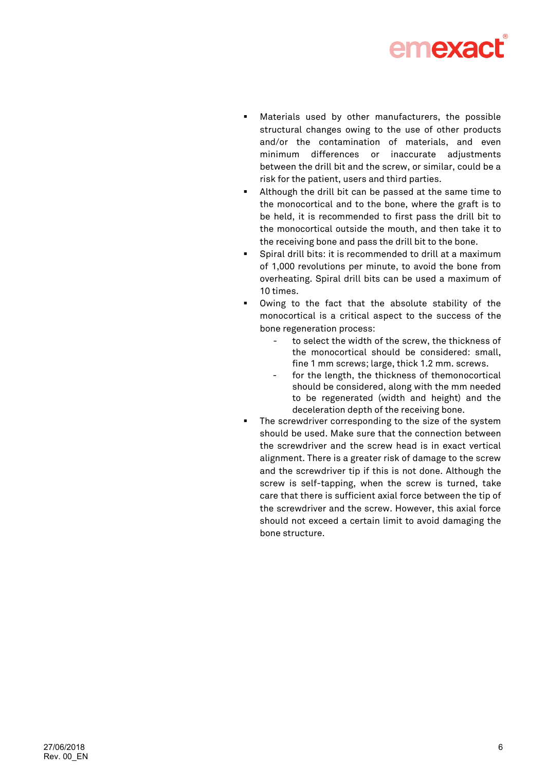

- Materials used by other manufacturers, the possible structural changes owing to the use of other products and/or the contamination of materials, and even minimum differences or inaccurate adjustments between the drill bit and the screw, or similar, could be a risk for the patient, users and third parties.
- Although the drill bit can be passed at the same time to the monocortical and to the bone, where the graft is to be held, it is recommended to first pass the drill bit to the monocortical outside the mouth, and then take it to the receiving bone and pass the drill bit to the bone.
- Spiral drill bits: it is recommended to drill at a maximum of 1,000 revolutions per minute, to avoid the bone from overheating. Spiral drill bits can be used a maximum of 10 times.
- Owing to the fact that the absolute stability of the monocortical is a critical aspect to the success of the bone regeneration process:
	- to select the width of the screw, the thickness of the monocortical should be considered: small, fine 1 mm screws; large, thick 1.2 mm. screws.
	- for the length, the thickness of themonocortical should be considered, along with the mm needed to be regenerated (width and height) and the deceleration depth of the receiving bone.
- **The screwdriver corresponding to the size of the system** should be used. Make sure that the connection between the screwdriver and the screw head is in exact vertical alignment. There is a greater risk of damage to the screw and the screwdriver tip if this is not done. Although the screw is self-tapping, when the screw is turned, take care that there is sufficient axial force between the tip of the screwdriver and the screw. However, this axial force should not exceed a certain limit to avoid damaging the bone structure.